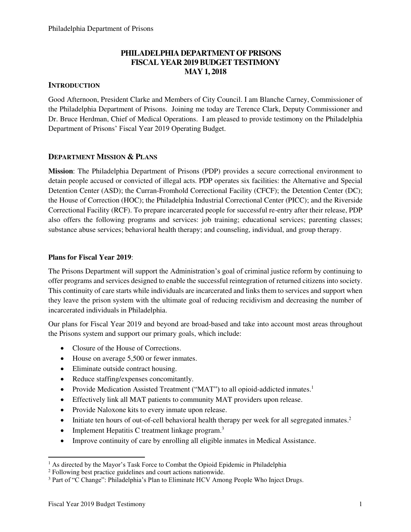## **PHILADELPHIA DEPARTMENT OF PRISONS FISCAL YEAR 2019 BUDGET TESTIMONY MAY 1, 2018**

## **INTRODUCTION**

Good Afternoon, President Clarke and Members of City Council. I am Blanche Carney, Commissioner of the Philadelphia Department of Prisons. Joining me today are Terence Clark, Deputy Commissioner and Dr. Bruce Herdman, Chief of Medical Operations. I am pleased to provide testimony on the Philadelphia Department of Prisons' Fiscal Year 2019 Operating Budget.

### **DEPARTMENT MISSION & PLANS**

**Mission**: The Philadelphia Department of Prisons (PDP) provides a secure correctional environment to detain people accused or convicted of illegal acts. PDP operates six facilities: the Alternative and Special Detention Center (ASD); the Curran-Fromhold Correctional Facility (CFCF); the Detention Center (DC); the House of Correction (HOC); the Philadelphia Industrial Correctional Center (PICC); and the Riverside Correctional Facility (RCF). To prepare incarcerated people for successful re-entry after their release, PDP also offers the following programs and services: job training; educational services; parenting classes; substance abuse services; behavioral health therapy; and counseling, individual, and group therapy.

#### **Plans for Fiscal Year 2019**:

The Prisons Department will support the Administration's goal of criminal justice reform by continuing to offer programs and services designed to enable the successful reintegration of returned citizens into society. This continuity of care starts while individuals are incarcerated and links them to services and support when they leave the prison system with the ultimate goal of reducing recidivism and decreasing the number of incarcerated individuals in Philadelphia.

Our plans for Fiscal Year 2019 and beyond are broad-based and take into account most areas throughout the Prisons system and support our primary goals, which include:

- Closure of the House of Corrections.
- House on average 5,500 or fewer inmates.
- Eliminate outside contract housing.
- Reduce staffing/expenses concomitantly.
- Provide Medication Assisted Treatment ("MAT") to all opioid-addicted inmates.<sup>1</sup>
- Effectively link all MAT patients to community MAT providers upon release.
- Provide Naloxone kits to every inmate upon release.
- Initiate ten hours of out-of-cell behavioral health therapy per week for all segregated inmates.<sup>2</sup>
- Implement Hepatitis C treatment linkage program.<sup>3</sup>
- Improve continuity of care by enrolling all eligible inmates in Medical Assistance.

 $\overline{a}$ 

<sup>&</sup>lt;sup>1</sup> As directed by the Mayor's Task Force to Combat the Opioid Epidemic in Philadelphia

<sup>&</sup>lt;sup>2</sup> Following best practice guidelines and court actions nationwide.

<sup>3</sup> Part of "C Change": Philadelphia's Plan to Eliminate HCV Among People Who Inject Drugs.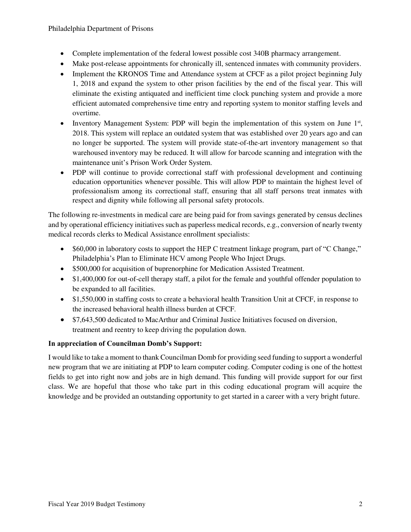- Complete implementation of the federal lowest possible cost 340B pharmacy arrangement.
- Make post-release appointments for chronically ill, sentenced inmates with community providers.
- Implement the KRONOS Time and Attendance system at CFCF as a pilot project beginning July 1, 2018 and expand the system to other prison facilities by the end of the fiscal year. This will eliminate the existing antiquated and inefficient time clock punching system and provide a more efficient automated comprehensive time entry and reporting system to monitor staffing levels and overtime.
- Inventory Management System: PDP will begin the implementation of this system on June 1<sup>st</sup>, 2018. This system will replace an outdated system that was established over 20 years ago and can no longer be supported. The system will provide state-of-the-art inventory management so that warehoused inventory may be reduced. It will allow for barcode scanning and integration with the maintenance unit's Prison Work Order System.
- PDP will continue to provide correctional staff with professional development and continuing education opportunities whenever possible. This will allow PDP to maintain the highest level of professionalism among its correctional staff, ensuring that all staff persons treat inmates with respect and dignity while following all personal safety protocols.

The following re-investments in medical care are being paid for from savings generated by census declines and by operational efficiency initiatives such as paperless medical records, e.g., conversion of nearly twenty medical records clerks to Medical Assistance enrollment specialists:

- \$60,000 in laboratory costs to support the HEP C treatment linkage program, part of "C Change," Philadelphia's Plan to Eliminate HCV among People Who Inject Drugs.
- \$500,000 for acquisition of buprenorphine for Medication Assisted Treatment.
- \$1,400,000 for out-of-cell therapy staff, a pilot for the female and youthful offender population to be expanded to all facilities.
- \$1,550,000 in staffing costs to create a behavioral health Transition Unit at CFCF, in response to the increased behavioral health illness burden at CFCF.
- \$7,643,500 dedicated to MacArthur and Criminal Justice Initiatives focused on diversion, treatment and reentry to keep driving the population down.

## **In appreciation of Councilman Domb's Support:**

I would like to take a moment to thank Councilman Domb for providing seed funding to support a wonderful new program that we are initiating at PDP to learn computer coding. Computer coding is one of the hottest fields to get into right now and jobs are in high demand. This funding will provide support for our first class. We are hopeful that those who take part in this coding educational program will acquire the knowledge and be provided an outstanding opportunity to get started in a career with a very bright future.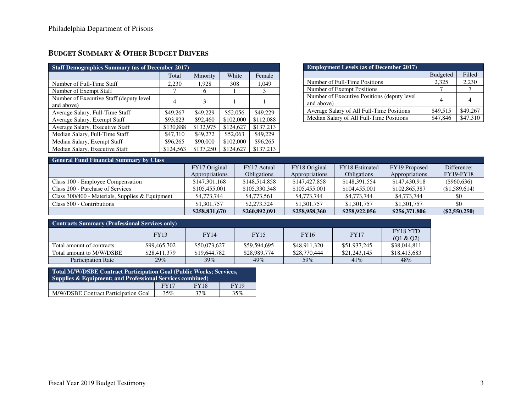# **BUDGET SUMMARY & OTHER BUDGET DRIVERS**

| <b>Staff Demographics Summary (as of December 2017)</b> |           |           |           |           |  |  |  |
|---------------------------------------------------------|-----------|-----------|-----------|-----------|--|--|--|
|                                                         | Total     | Minority  | White     | Female    |  |  |  |
| Number of Full-Time Staff                               | 2,230     | 1.928     | 308       | 1.049     |  |  |  |
| Number of Exempt Staff                                  | 7         | 6         |           | 3         |  |  |  |
| Number of Executive Staff (deputy level)<br>and above)  | 4         | 3         |           |           |  |  |  |
| Average Salary, Full-Time Staff                         | \$49,267  | \$49,229  | \$52,056  | \$49,229  |  |  |  |
| Average Salary, Exempt Staff                            | \$93,823  | \$92,460  | \$102,000 | \$112,088 |  |  |  |
| Average Salary, Executive Staff                         | \$130,888 | \$132,975 | \$124,627 | \$137.213 |  |  |  |
| Median Salary, Full-Time Staff                          | \$47,310  | \$49,272  | \$52,063  | \$49,229  |  |  |  |
| Median Salary, Exempt Staff                             | \$96,265  | \$90,000  | \$102,000 | \$96,265  |  |  |  |
| Median Salary, Executive Staff                          | \$124,563 | \$137,250 | \$124,627 | \$137,213 |  |  |  |

| <b>Employment Levels (as of December 2017)</b> |                 |          |  |  |  |  |  |
|------------------------------------------------|-----------------|----------|--|--|--|--|--|
|                                                | <b>Budgeted</b> | Filled   |  |  |  |  |  |
| Number of Full-Time Positions                  | 2,325           | 2,230    |  |  |  |  |  |
| Number of Exempt Positions                     |                 |          |  |  |  |  |  |
| Number of Executive Positions (deputy level    | 4               |          |  |  |  |  |  |
| and above)                                     |                 |          |  |  |  |  |  |
| Average Salary of All Full-Time Positions      | \$49,515        | \$49,267 |  |  |  |  |  |
| Median Salary of All Full-Time Positions       | \$47,846        | \$47,310 |  |  |  |  |  |

| <b>General Fund Financial Summary by Class</b>    |                |                    |                |                    |                |                  |  |  |
|---------------------------------------------------|----------------|--------------------|----------------|--------------------|----------------|------------------|--|--|
|                                                   | FY17 Original  | FY17 Actual        | FY18 Original  | FY18 Estimated     | FY19 Proposed  | Difference:      |  |  |
|                                                   | Appropriations | <b>Obligations</b> | Appropriations | <b>Obligations</b> | Appropriations | <b>FY19-FY18</b> |  |  |
| Class 100 - Employee Compensation                 | \$147,301,168  | \$148,514,858      | \$147,427,858  | \$148,391,554      | \$147,430,918  | $(\$960,636)$    |  |  |
| Class 200 - Purchase of Services                  | \$105,455,001  | \$105,330,348      | \$105,455,001  | \$104,455,001      | \$102,865,387  | (\$1,589,614)    |  |  |
| Class $300/400$ - Materials, Supplies & Equipment | \$4,773,744    | \$4,773,561        | \$4,773,744    | \$4,773,744        | \$4,773,744    | \$0              |  |  |
| Class 500 - Contributions                         | \$1,301,757    | \$2,273,324        | \$1,301,757    | \$1,301,757        | \$1,301,757    | \$0              |  |  |
|                                                   | \$258,831,670  | \$260,892,091      | \$258,958,360  | \$258,922,056      | \$256,371,806  | $(\$2,550,250)$  |  |  |

| <b>Contracts Summary (Professional Services only)</b> |              |              |              |              |              |                              |  |  |
|-------------------------------------------------------|--------------|--------------|--------------|--------------|--------------|------------------------------|--|--|
|                                                       | <b>FY13</b>  | <b>FY14</b>  | <b>FY15</b>  | <b>FY16</b>  | <b>FY17</b>  | <b>FY18 YTD</b><br>(Q1 & Q2) |  |  |
| Total amount of contracts                             | \$99,465,702 | \$50,073,627 | \$59,594,695 | \$48,911,320 | \$51,937,245 | \$38,044,811                 |  |  |
| Total amount to M/W/DSBE                              | \$28,411,379 | \$19,644,782 | \$28,989,774 | \$28,770,444 | \$21,243,145 | \$18,413,683                 |  |  |
| <b>Participation Rate</b>                             | $29\%$       | 39%          | 49%          | 59%          | 41%          | 48%                          |  |  |

| Total M/W/DSBE Contract Participation Goal (Public Works; Services,  |  |  |  |  |  |  |  |
|----------------------------------------------------------------------|--|--|--|--|--|--|--|
| <b>Supplies &amp; Equipment; and Professional Services combined)</b> |  |  |  |  |  |  |  |
| <b>FY19</b><br><b>FY18</b><br>FY17                                   |  |  |  |  |  |  |  |
| M/W/DSBE Contract Participation Goal<br>35%<br>37%<br>35%            |  |  |  |  |  |  |  |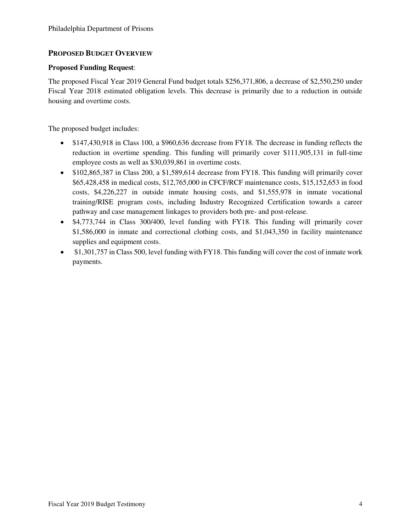## **PROPOSED BUDGET OVERVIEW**

#### **Proposed Funding Request**:

The proposed Fiscal Year 2019 General Fund budget totals \$256,371,806, a decrease of \$2,550,250 under Fiscal Year 2018 estimated obligation levels. This decrease is primarily due to a reduction in outside housing and overtime costs.

The proposed budget includes:

- \$147,430,918 in Class 100, a \$960,636 decrease from FY18. The decrease in funding reflects the reduction in overtime spending. This funding will primarily cover \$111,905,131 in full-time employee costs as well as \$30,039,861 in overtime costs.
- \$102,865,387 in Class 200, a \$1,589,614 decrease from FY18. This funding will primarily cover \$65,428,458 in medical costs, \$12,765,000 in CFCF/RCF maintenance costs, \$15,152,653 in food costs, \$4,226,227 in outside inmate housing costs, and \$1,555,978 in inmate vocational training/RISE program costs, including Industry Recognized Certification towards a career pathway and case management linkages to providers both pre- and post-release.
- \$4,773,744 in Class 300/400, level funding with FY18. This funding will primarily cover \$1,586,000 in inmate and correctional clothing costs, and \$1,043,350 in facility maintenance supplies and equipment costs.
- \$1,301,757 in Class 500, level funding with FY18. This funding will cover the cost of inmate work payments.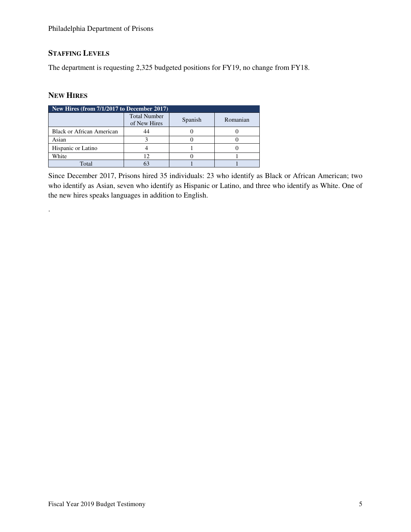## **STAFFING LEVELS**

The department is requesting 2,325 budgeted positions for FY19, no change from FY18.

## **NEW HIRES**

.

|                           | New Hires (from 7/1/2017 to December 2017) |         |          |  |  |  |  |  |
|---------------------------|--------------------------------------------|---------|----------|--|--|--|--|--|
|                           | <b>Total Number</b><br>of New Hires        | Spanish | Romanian |  |  |  |  |  |
| Black or African American |                                            |         |          |  |  |  |  |  |
| Asian                     |                                            |         |          |  |  |  |  |  |
| Hispanic or Latino        |                                            |         |          |  |  |  |  |  |
| White                     |                                            |         |          |  |  |  |  |  |
| Total                     |                                            |         |          |  |  |  |  |  |

Since December 2017, Prisons hired 35 individuals: 23 who identify as Black or African American; two who identify as Asian, seven who identify as Hispanic or Latino, and three who identify as White. One of the new hires speaks languages in addition to English.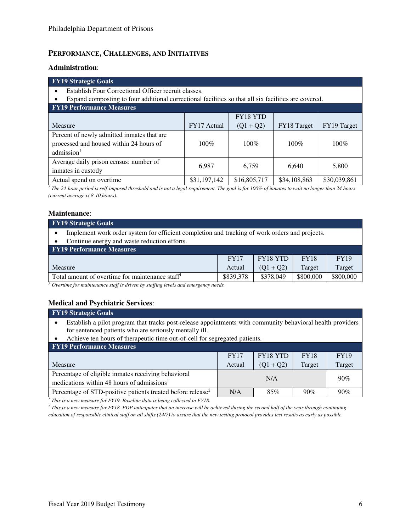## **PERFORMANCE, CHALLENGES, AND INITIATIVES**

#### **Administration**:

| <b>FY19 Strategic Goals</b>                                                                          |              |              |              |              |  |  |  |  |
|------------------------------------------------------------------------------------------------------|--------------|--------------|--------------|--------------|--|--|--|--|
| Establish Four Correctional Officer recruit classes.                                                 |              |              |              |              |  |  |  |  |
| Expand composting to four additional correctional facilities so that all six facilities are covered. |              |              |              |              |  |  |  |  |
| <b>FY19 Performance Measures</b>                                                                     |              |              |              |              |  |  |  |  |
|                                                                                                      |              | FY18 YTD     |              |              |  |  |  |  |
| Measure                                                                                              | FY17 Actual  | $(Q1 + Q2)$  | FY18 Target  | FY19 Target  |  |  |  |  |
| Percent of newly admitted inmates that are                                                           |              |              |              |              |  |  |  |  |
| processed and housed within 24 hours of                                                              | $100\%$      | 100%         | $100\%$      | $100\%$      |  |  |  |  |
| admission <sup>1</sup>                                                                               |              |              |              |              |  |  |  |  |
| Average daily prison census: number of                                                               |              |              |              |              |  |  |  |  |
| 6,759<br>6,640<br>6,987<br>5,800<br>inmates in custody                                               |              |              |              |              |  |  |  |  |
| Actual spend on overtime.                                                                            | \$31,197,142 | \$16,805,717 | \$34,108,863 | \$30,039,861 |  |  |  |  |

<sup>1</sup> The 24-hour period is self-imposed threshold and is not a legal requirement. The goal is for 100% of inmates to wait no longer than 24 hours *(current average is 8-10 hours).* 

#### **Maintenance**:

| <b>FY19 Strategic Goals</b>                                                                                 |           |           |           |           |  |  |  |
|-------------------------------------------------------------------------------------------------------------|-----------|-----------|-----------|-----------|--|--|--|
| Implement work order system for efficient completion and tracking of work orders and projects.<br>$\bullet$ |           |           |           |           |  |  |  |
| Continue energy and waste reduction efforts.<br>$\bullet$                                                   |           |           |           |           |  |  |  |
| <b>FY19 Performance Measures</b>                                                                            |           |           |           |           |  |  |  |
| <b>FY18 YTD</b><br><b>FY19</b><br><b>FY18</b><br><b>FY17</b>                                                |           |           |           |           |  |  |  |
| Target<br>$(Q1 + Q2)$<br>Target<br>Measure<br>Actual                                                        |           |           |           |           |  |  |  |
| Total amount of overtime for maintenance staff <sup>1</sup>                                                 | \$839,378 | \$378,049 | \$800,000 | \$800,000 |  |  |  |

*<sup>1</sup> Overtime for maintenance staff is driven by staffing levels and emergency needs.* 

### **Medical and Psychiatric Services**:

| <b>FV19 Strategic Goals</b>                                                                                                                                                                                                                        |        |             |        |        |  |  |
|----------------------------------------------------------------------------------------------------------------------------------------------------------------------------------------------------------------------------------------------------|--------|-------------|--------|--------|--|--|
| Establish a pilot program that tracks post-release appointments with community behavioral health providers<br>for sentenced patients who are seriously mentally ill.<br>Achieve ten hours of therapeutic time out-of-cell for segregated patients. |        |             |        |        |  |  |
|                                                                                                                                                                                                                                                    |        |             |        |        |  |  |
| <b>FY19 Performance Measures</b>                                                                                                                                                                                                                   |        |             |        |        |  |  |
| FY18 YTD<br><b>FY17</b><br><b>FY18</b><br><b>FY19</b>                                                                                                                                                                                              |        |             |        |        |  |  |
| Measure                                                                                                                                                                                                                                            | Actual | $(Q1 + Q2)$ | Target | Target |  |  |
| Percentage of eligible inmates receiving behavioral<br>N/A<br>90%                                                                                                                                                                                  |        |             |        |        |  |  |
| medications within 48 hours of admissions <sup>1</sup>                                                                                                                                                                                             |        |             |        |        |  |  |
| Percentage of STD-positive patients treated before release <sup>2</sup>                                                                                                                                                                            | N/A    | 85%         | 90%    | 90%    |  |  |

<sup>1</sup> This is a new measure for FY19. Baseline data is being collected in FY18.

*2 This is a new measure for FY18. PDP anticipates that an increase will be achieved during the second half of the year through continuing education of responsible clinical staff on all shifts (24/7) to assure that the new testing protocol provides test results as early as possible.*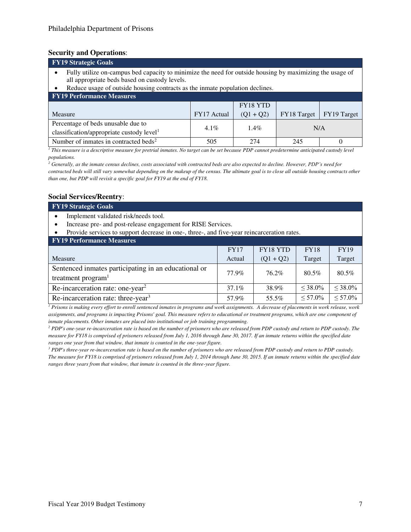#### **Security and Operations**:

| <b>FY19 Strategic Goals</b>                                                                                                                                                                                                                    |             |             |                    |             |  |  |  |
|------------------------------------------------------------------------------------------------------------------------------------------------------------------------------------------------------------------------------------------------|-------------|-------------|--------------------|-------------|--|--|--|
| Fully utilize on-campus bed capacity to minimize the need for outside housing by maximizing the usage of<br>all appropriate beds based on custody levels.<br>Reduce usage of outside housing contracts as the inmate population declines.<br>٠ |             |             |                    |             |  |  |  |
| <b>FY19 Performance Measures</b>                                                                                                                                                                                                               |             |             |                    |             |  |  |  |
|                                                                                                                                                                                                                                                |             | FY18 YTD    |                    |             |  |  |  |
| Measure                                                                                                                                                                                                                                        | FY17 Actual | $(Q1 + Q2)$ | <b>FY18</b> Target | FY19 Target |  |  |  |
| Percentage of beds unusable due to                                                                                                                                                                                                             |             |             |                    |             |  |  |  |
| $1.4\%$<br>$4.1\%$<br>N/A<br>classification/appropriate custody level <sup>1</sup>                                                                                                                                                             |             |             |                    |             |  |  |  |
| Number of inmates in contracted beds <sup>2</sup>                                                                                                                                                                                              | 505         | 274         | 245                |             |  |  |  |

*1 This measure is a descriptive measure for pretrial inmates. No target can be set because PDP cannot predetermine anticipated custody level populations.* 

<sup>2</sup> Generally, as the inmate census declines, costs associated with contracted beds are also expected to decline. However, PDP's need for *contracted beds will still vary somewhat depending on the makeup of the census. The ultimate goal is to close all outside housing contracts other than one, but PDP will revisit a specific goal for FY19 at the end of FY18.* 

#### **Social Services/Reentry**:

**FY19 Strategic Goals** 

- Implement validated risk/needs tool.
- Increase pre- and post-release engagement for RISE Services.
- Provide services to support decrease in one-, three-, and five-year reincarceration rates.

| <b>FY19 Performance Measures</b> |
|----------------------------------|
|----------------------------------|

|                                                                                        | FY17     | <b>FY18 YTD</b> | <b>FY18</b>   | <b>FY19</b>   |
|----------------------------------------------------------------------------------------|----------|-----------------|---------------|---------------|
| Measure                                                                                | Actual   | $(Q1 + Q2)$     | Target        | Target        |
| Sentenced inmates participating in an educational or<br>treatment program <sup>1</sup> | 77.9%    | 76.2%           | 80.5%         | 80.5%         |
| Re-incarceration rate: one-year <sup>2</sup>                                           | $37.1\%$ | 38.9%           | $\leq 38.0\%$ | $\leq 38.0\%$ |
| Re-incarceration rate: three-year <sup>3</sup>                                         | 57.9%    | 55.5%           | $\leq 57.0\%$ | $\leq 57.0\%$ |

*1 Prisons is making every effort to enroll sentenced inmates in programs and work assignments. A decrease of placements in work release, work assignments, and programs is impacting Prisons' goal. This measure refers to educational or treatment programs, which are one component of inmate placements. Other inmates are placed into institutional or job training programming.* 

<sup>2</sup> PDP's one-year re-incarceration rate is based on the number of prisoners who are released from PDP custody and return to PDP custody. The *measure for FY18 is comprised of prisoners released from July 1, 2016 through June 30, 2017. If an inmate returns within the specified date ranges one year from that window, that inmate is counted in the one-year figure.* 

<sup>3</sup> PDP's three-year re-incarceration rate is based on the number of prisoners who are released from PDP custody and return to PDP custody. *The measure for FY18 is comprised of prisoners released from July 1, 2014 through June 30, 2015. If an inmate returns within the specified date ranges three years from that window, that inmate is counted in the three-year figure.*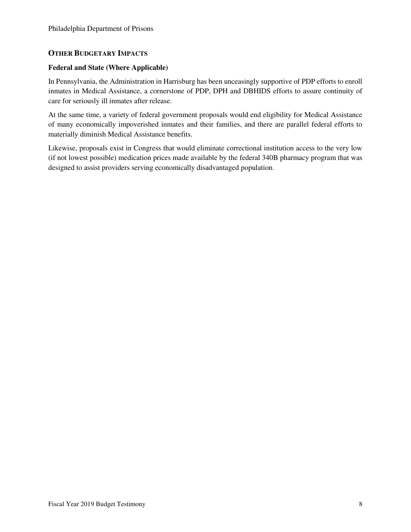### **OTHER BUDGETARY IMPACTS**

#### **Federal and State (Where Applicable)**

In Pennsylvania, the Administration in Harrisburg has been unceasingly supportive of PDP efforts to enroll inmates in Medical Assistance, a cornerstone of PDP, DPH and DBHIDS efforts to assure continuity of care for seriously ill inmates after release.

At the same time, a variety of federal government proposals would end eligibility for Medical Assistance of many economically impoverished inmates and their families, and there are parallel federal efforts to materially diminish Medical Assistance benefits.

Likewise, proposals exist in Congress that would eliminate correctional institution access to the very low (if not lowest possible) medication prices made available by the federal 340B pharmacy program that was designed to assist providers serving economically disadvantaged population.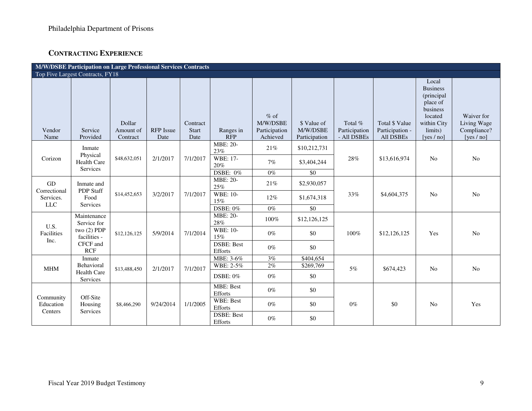## **CONTRACTING EXPERIENCE**

| M/W/DSBE Participation on Large Professional Services Contracts |                                                                                       |                                 |                          |                                  |                              |                                                 |                                          |                                         |                                                       |                                                                                                                      |                                                          |
|-----------------------------------------------------------------|---------------------------------------------------------------------------------------|---------------------------------|--------------------------|----------------------------------|------------------------------|-------------------------------------------------|------------------------------------------|-----------------------------------------|-------------------------------------------------------|----------------------------------------------------------------------------------------------------------------------|----------------------------------------------------------|
| Top Five Largest Contracts, FY18                                |                                                                                       |                                 |                          |                                  |                              |                                                 |                                          |                                         |                                                       |                                                                                                                      |                                                          |
| Vendor<br>Name                                                  | Service<br>Provided                                                                   | Dollar<br>Amount of<br>Contract | <b>RFP</b> Issue<br>Date | Contract<br><b>Start</b><br>Date | Ranges in<br><b>RFP</b>      | $%$ of<br>M/W/DSBE<br>Participation<br>Achieved | \$ Value of<br>M/W/DSBE<br>Participation | Total %<br>Participation<br>- All DSBEs | <b>Total \$ Value</b><br>Participation -<br>All DSBEs | Local<br><b>Business</b><br>(principal)<br>place of<br>business<br>located<br>within City<br>limits)<br>[yes $/$ no] | Waiver for<br>Living Wage<br>Compliance?<br>[yes $/$ no] |
| Corizon                                                         | Inmate<br>Physical<br><b>Health Care</b><br>Services                                  | \$48,632,051                    | 2/1/2017                 | 7/1/2017                         | <b>MBE: 20-</b><br>23%       | 21%                                             | \$10,212,731                             | 28%                                     | \$13,616,974                                          | N <sub>o</sub>                                                                                                       | No                                                       |
|                                                                 |                                                                                       |                                 |                          |                                  | WBE: 17-<br>20%              | 7%                                              | \$3,404,244                              |                                         |                                                       |                                                                                                                      |                                                          |
|                                                                 |                                                                                       |                                 |                          |                                  | <b>DSBE: 0%</b>              | $0\%$                                           | \$0                                      |                                         |                                                       |                                                                                                                      |                                                          |
| GD<br>Correctional<br>Services.<br><b>LLC</b>                   | Inmate and<br>PDP Staff<br>Food<br>Services                                           | \$14,452,653                    | 3/2/2017                 | 7/1/2017                         | MBE: 20-<br>25%              | 21%                                             | \$2,930,057                              | 33%                                     | \$4,604,375                                           | No                                                                                                                   | No                                                       |
|                                                                 |                                                                                       |                                 |                          |                                  | WBE: 10-<br>15%              | $12\%$                                          | \$1,674,318                              |                                         |                                                       |                                                                                                                      |                                                          |
|                                                                 |                                                                                       |                                 |                          |                                  | DSBE: 0%                     | $0\%$                                           | \$0                                      |                                         |                                                       |                                                                                                                      |                                                          |
| U.S.<br>Facilities<br>Inc.                                      | Maintenance<br>Service for<br>two $(2)$ PDP<br>facilities -<br>CFCF and<br><b>RCF</b> | \$12,126,125                    | 5/9/2014                 | 7/1/2014                         | MBE: 20-<br>28%              | 100%                                            | \$12,126,125                             | 100%                                    | \$12,126,125                                          | Yes                                                                                                                  | No                                                       |
|                                                                 |                                                                                       |                                 |                          |                                  | <b>WBE: 10-</b><br>15%       | $0\%$                                           | \$0                                      |                                         |                                                       |                                                                                                                      |                                                          |
|                                                                 |                                                                                       |                                 |                          |                                  | <b>DSBE: Best</b><br>Efforts | $0\%$                                           | \$0                                      |                                         |                                                       |                                                                                                                      |                                                          |
| <b>MHM</b>                                                      | Inmate<br>Behavioral<br><b>Health Care</b><br>Services                                | \$13,488,450                    | 2/1/2017                 | 7/1/2017                         | MBE: 3-6%                    | $3\%$                                           | \$404,654                                | 5%                                      | \$674,423                                             | No                                                                                                                   | N <sub>o</sub>                                           |
|                                                                 |                                                                                       |                                 |                          |                                  | WBE: 2-5%                    | 2%                                              | \$269,769                                |                                         |                                                       |                                                                                                                      |                                                          |
|                                                                 |                                                                                       |                                 |                          |                                  | DSBE: $0\%$                  | $0\%$                                           | \$0                                      |                                         |                                                       |                                                                                                                      |                                                          |
| Community<br>Education<br>Centers                               | Off-Site<br>Housing<br>Services                                                       | \$8,466,290                     | 9/24/2014                | 1/1/2005                         | <b>MBE: Best</b><br>Efforts  | $0\%$                                           | \$0                                      | $0\%$<br>\$0                            |                                                       | N <sub>0</sub>                                                                                                       | Yes                                                      |
|                                                                 |                                                                                       |                                 |                          |                                  | WBE: Best<br>Efforts         | $0\%$                                           | \$0                                      |                                         |                                                       |                                                                                                                      |                                                          |
|                                                                 |                                                                                       |                                 |                          |                                  | <b>DSBE: Best</b><br>Efforts | $0\%$                                           | \$0                                      |                                         |                                                       |                                                                                                                      |                                                          |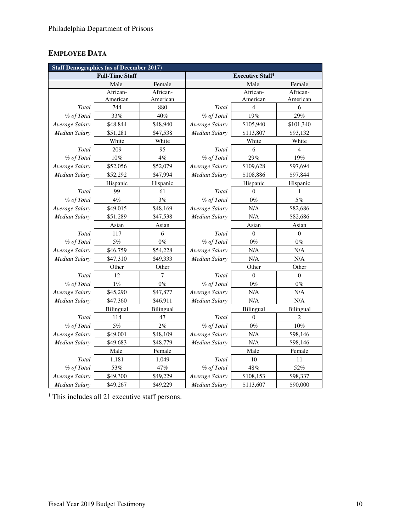# **EMPLOYEE DATA**

| <b>Staff Demographics (as of December 2017)</b> |                        |           |                                    |                |                |  |  |  |  |  |  |
|-------------------------------------------------|------------------------|-----------|------------------------------------|----------------|----------------|--|--|--|--|--|--|
|                                                 | <b>Full-Time Staff</b> |           | <b>Executive Staff<sup>1</sup></b> |                |                |  |  |  |  |  |  |
|                                                 | Male                   | Female    |                                    | Male           | Female         |  |  |  |  |  |  |
|                                                 | African-               | African-  |                                    | African-       | African-       |  |  |  |  |  |  |
|                                                 | American               | American  |                                    | American       | American       |  |  |  |  |  |  |
| Total                                           | 744                    | 880       | Total                              | $\overline{4}$ | 6              |  |  |  |  |  |  |
| % of Total                                      | 33%                    | 40%       | % of Total                         | 19%            | 29%            |  |  |  |  |  |  |
| Average Salary                                  | \$48,844               | \$48,940  | Average Salary                     | \$105,940      | \$101,340      |  |  |  |  |  |  |
| <b>Median Salary</b>                            | \$51,281               | \$47,538  | Median Salary                      | \$113,807      | \$93,132       |  |  |  |  |  |  |
|                                                 | White                  | White     |                                    | White          | White          |  |  |  |  |  |  |
| Total                                           | 209                    | 95        | Total                              | 6              | $\overline{4}$ |  |  |  |  |  |  |
| % of Total                                      | 10%                    | 4%        | % of Total                         | 29%            | 19%            |  |  |  |  |  |  |
| Average Salary                                  | \$52,056               | \$52,079  | Average Salary                     | \$109,628      | \$97,694       |  |  |  |  |  |  |
| <b>Median Salary</b>                            | \$52,292               | \$47,994  | <b>Median Salary</b>               | \$108,886      | \$97,844       |  |  |  |  |  |  |
|                                                 | Hispanic               | Hispanic  |                                    | Hispanic       | Hispanic       |  |  |  |  |  |  |
| Total                                           | 99                     | 61        | Total                              | $\theta$       | 1              |  |  |  |  |  |  |
| % of Total                                      | 4%                     | 3%        | % of Total                         | $0\%$          | $5\%$          |  |  |  |  |  |  |
| Average Salary                                  | \$49,015               | \$48,169  | Average Salary                     | N/A            | \$82,686       |  |  |  |  |  |  |
| <b>Median Salary</b>                            | \$51,289               | \$47,538  | Median Salary                      | N/A            | \$82,686       |  |  |  |  |  |  |
|                                                 | Asian                  | Asian     |                                    | Asian          | Asian          |  |  |  |  |  |  |
| Total                                           | 117                    | 6         | Total                              | $\mathbf{0}$   | $\overline{0}$ |  |  |  |  |  |  |
| % of Total                                      | $5\%$                  | $0\%$     | % of Total                         | $0\%$          | $0\%$          |  |  |  |  |  |  |
| Average Salary                                  | \$46,759               | \$54,228  | Average Salary                     | $\rm N/A$      | $\rm N/A$      |  |  |  |  |  |  |
| Median Salary                                   | \$47,310               | \$49,333  | Median Salary                      | N/A            | N/A            |  |  |  |  |  |  |
|                                                 | Other                  | Other     |                                    | Other          |                |  |  |  |  |  |  |
| Total                                           | 12                     | 7         | Total                              | $\Omega$       | $\mathbf{0}$   |  |  |  |  |  |  |
| % of Total                                      | $1\%$                  | $0\%$     | % of Total                         | $0\%$          | $0\%$          |  |  |  |  |  |  |
| Average Salary                                  | \$45,290               | \$47,877  | Average Salary                     | N/A            | N/A            |  |  |  |  |  |  |
| Median Salary                                   | \$47,360               | \$46,911  | <b>Median Salary</b>               | N/A            | N/A            |  |  |  |  |  |  |
|                                                 | Bilingual              | Bilingual |                                    | Bilingual      | Bilingual      |  |  |  |  |  |  |
| Total                                           | 114                    | 47        | Total                              | $\mathbf{0}$   | $\overline{2}$ |  |  |  |  |  |  |
| % of Total                                      | 5%                     | 2%        | % of Total                         | $0\%$          | 10%            |  |  |  |  |  |  |
| Average Salary                                  | \$49,001               | \$48,109  | Average Salary                     | N/A            | \$98,146       |  |  |  |  |  |  |
| <b>Median Salary</b><br>\$49,683                |                        | \$48,779  | Median Salary                      | N/A            | \$98,146       |  |  |  |  |  |  |
|                                                 | Male                   | Female    |                                    | Male           | Female         |  |  |  |  |  |  |
| Total                                           | 1,181                  | 1,049     | Total                              | 10             | 11             |  |  |  |  |  |  |
| % of Total                                      | 53%                    | 47%       | % of Total                         | 48%            | 52%            |  |  |  |  |  |  |
| Average Salary                                  | \$49,300               | \$49,229  | Average Salary                     | \$108,153      | \$98,337       |  |  |  |  |  |  |
| <b>Median Salary</b>                            | \$49,267               | \$49,229  | <b>Median Salary</b>               | \$113,607      | \$90,000       |  |  |  |  |  |  |

<sup>1</sup> This includes all 21 executive staff persons.